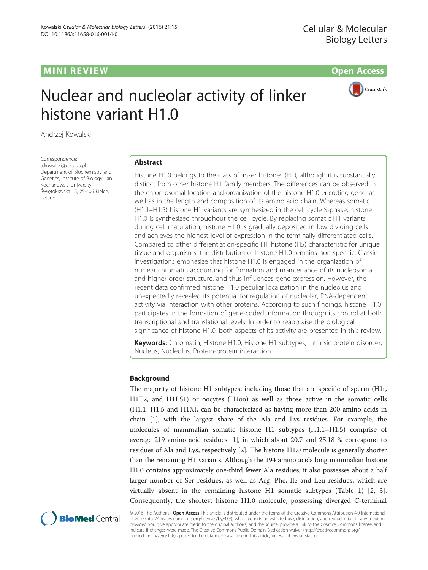# **MINI REVIEW CONTROL** CONTROL CONTROL CONTROL CONTROL CONTROL CONTROL CONTROL CONTROL CONTROL CONTROL CONTROL CONTROL CONTROL CONTROL CONTROL CONTROL CONTROL CONTROL CONTROL CONTROL CONTROL CONTROL CONTROL CONTROL CONTROL

CrossMark

# Nuclear and nucleolar activity of linker histone variant H1.0

Andrzej Kowalski

Correspondence: [a.kowalski@ujk.edu.pl](mailto:a.kowalski@ujk.edu.pl) Department of Biochemistry and Genetics, Institute of Biology, Jan Kochanowski University, Świętokrzyska 15, 25-406 Kielce, Poland

# Abstract

Histone H1.0 belongs to the class of linker histones (H1), although it is substantially distinct from other histone H1 family members. The differences can be observed in the chromosomal location and organization of the histone H1.0 encoding gene, as well as in the length and composition of its amino acid chain. Whereas somatic (H1.1–H1.5) histone H1 variants are synthesized in the cell cycle S-phase, histone H1.0 is synthesized throughout the cell cycle. By replacing somatic H1 variants during cell maturation, histone H1.0 is gradually deposited in low dividing cells and achieves the highest level of expression in the terminally differentiated cells. Compared to other differentiation-specific H1 histone (H5) characteristic for unique tissue and organisms, the distribution of histone H1.0 remains non-specific. Classic investigations emphasize that histone H1.0 is engaged in the organization of nuclear chromatin accounting for formation and maintenance of its nucleosomal and higher-order structure, and thus influences gene expression. However, the recent data confirmed histone H1.0 peculiar localization in the nucleolus and unexpectedly revealed its potential for regulation of nucleolar, RNA-dependent, activity via interaction with other proteins. According to such findings, histone H1.0 participates in the formation of gene-coded information through its control at both transcriptional and translational levels. In order to reappraise the biological significance of histone H1.0, both aspects of its activity are presented in this review.

Keywords: Chromatin, Histone H1.0, Histone H1 subtypes, Intrinsic protein disorder, Nucleus, Nucleolus, Protein-protein interaction

# Background

The majority of histone H1 subtypes, including those that are specific of sperm (H1t, H1T2, and H1LS1) or oocytes (H1oo) as well as those active in the somatic cells (H1.1–H1.5 and H1X), can be characterized as having more than 200 amino acids in chain [[1\]](#page-10-0), with the largest share of the Ala and Lys residues. For example, the molecules of mammalian somatic histone H1 subtypes (H1.1–H1.5) comprise of average 219 amino acid residues [\[1](#page-10-0)], in which about 20.7 and 25.18 % correspond to residues of Ala and Lys, respectively [[2](#page-10-0)]. The histone H1.0 molecule is generally shorter than the remaining H1 variants. Although the 194 amino acids long mammalian histone H1.0 contains approximately one-third fewer Ala residues, it also possesses about a half larger number of Ser residues, as well as Arg, Phe, Ile and Leu residues, which are virtually absent in the remaining histone H1 somatic subtypes (Table [1](#page-6-0)) [\[2](#page-10-0), [3](#page-10-0)]. Consequently, the shortest histone H1.0 molecule, possessing diverged C-terminal



© 2016 The Author(s). Open Access This article is distributed under the terms of the Creative Commons Attribution 4.0 International License ([http://creativecommons.org/licenses/by/4.0/\)](http://creativecommons.org/licenses/by/4.0/), which permits unrestricted use, distribution, and reproduction in any medium, provided you give appropriate credit to the original author(s) and the source, provide a link to the Creative Commons license, and indicate if changes were made. The Creative Commons Public Domain Dedication waiver ([http://creativecommons.org/](http://creativecommons.org/publicdomain/zero/1.0/) [publicdomain/zero/1.0/\)](http://creativecommons.org/publicdomain/zero/1.0/) applies to the data made available in this article, unless otherwise stated.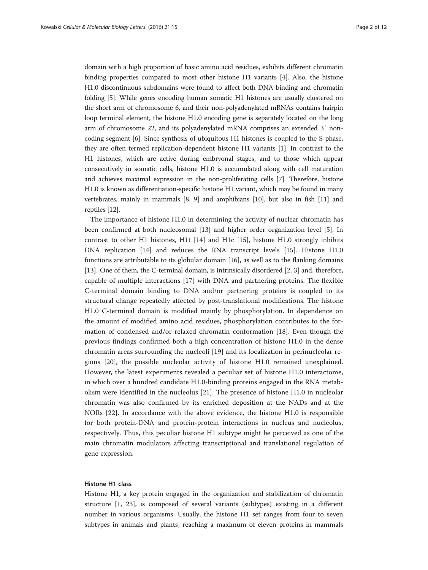domain with a high proportion of basic amino acid residues, exhibits different chromatin binding properties compared to most other histone H1 variants [[4](#page-10-0)]. Also, the histone H1.0 discontinuous subdomains were found to affect both DNA binding and chromatin folding [\[5](#page-10-0)]. While genes encoding human somatic H1 histones are usually clustered on the short arm of chromosome 6, and their non-polyadenylated mRNAs contains hairpin loop terminal element, the histone H1.0 encoding gene is separately located on the long arm of chromosome 22, and its polyadenylated mRNA comprises an extended 3′ noncoding segment [\[6](#page-10-0)]. Since synthesis of ubiquitous H1 histones is coupled to the S-phase, they are often termed replication-dependent histone H1 variants [\[1](#page-10-0)]. In contrast to the H1 histones, which are active during embryonal stages, and to those which appear consecutively in somatic cells, histone H1.0 is accumulated along with cell maturation and achieves maximal expression in the non-proliferating cells [[7\]](#page-10-0). Therefore, histone H1.0 is known as differentiation-specific histone H1 variant, which may be found in many vertebrates, mainly in mammals [\[8](#page-10-0), [9](#page-10-0)] and amphibians [[10](#page-10-0)], but also in fish [[11](#page-10-0)] and reptiles [\[12](#page-10-0)].

The importance of histone H1.0 in determining the activity of nuclear chromatin has been confirmed at both nucleosomal [\[13](#page-10-0)] and higher order organization level [\[5](#page-10-0)]. In contrast to other H1 histones, H1t [[14\]](#page-10-0) and H1c [\[15](#page-10-0)], histone H1.0 strongly inhibits DNA replication [\[14\]](#page-10-0) and reduces the RNA transcript levels [[15](#page-10-0)]. Histone H1.0 functions are attributable to its globular domain [[16\]](#page-10-0), as well as to the flanking domains [[13\]](#page-10-0). One of them, the C-terminal domain, is intrinsically disordered [\[2](#page-10-0), [3\]](#page-10-0) and, therefore, capable of multiple interactions [[17](#page-10-0)] with DNA and partnering proteins. The flexible C-terminal domain binding to DNA and/or partnering proteins is coupled to its structural change repeatedly affected by post-translational modifications. The histone H1.0 C-terminal domain is modified mainly by phosphorylation. In dependence on the amount of modified amino acid residues, phosphorylation contributes to the formation of condensed and/or relaxed chromatin conformation [[18\]](#page-10-0). Even though the previous findings confirmed both a high concentration of histone H1.0 in the dense chromatin areas surrounding the nucleoli [[19](#page-10-0)] and its localization in perinucleolar regions [\[20](#page-10-0)], the possible nucleolar activity of histone H1.0 remained unexplained. However, the latest experiments revealed a peculiar set of histone H1.0 interactome, in which over a hundred candidate H1.0-binding proteins engaged in the RNA metabolism were identified in the nucleolus [\[21](#page-10-0)]. The presence of histone H1.0 in nucleolar chromatin was also confirmed by its enriched deposition at the NADs and at the NORs [\[22](#page-10-0)]. In accordance with the above evidence, the histone H1.0 is responsible for both protein-DNA and protein-protein interactions in nucleus and nucleolus, respectively. Thus, this peculiar histone H1 subtype might be perceived as one of the main chromatin modulators affecting transcriptional and translational regulation of gene expression.

# Histone H1 class

Histone H1, a key protein engaged in the organization and stabilization of chromatin structure [[1, 23\]](#page-10-0), is composed of several variants (subtypes) existing in a different number in various organisms. Usually, the histone H1 set ranges from four to seven subtypes in animals and plants, reaching a maximum of eleven proteins in mammals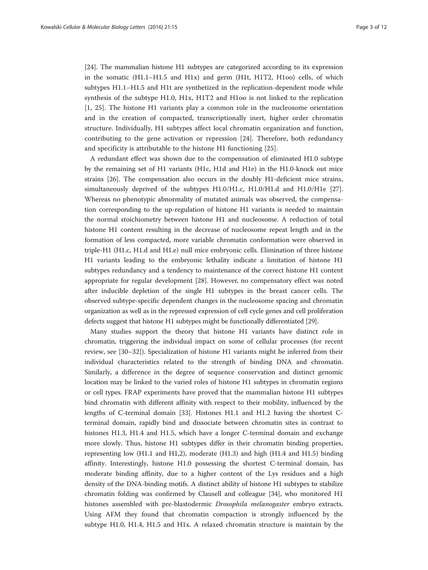[[24\]](#page-10-0). The mammalian histone H1 subtypes are categorized according to its expression in the somatic  $(H1.1-H1.5$  and  $H1x)$  and germ  $(H1t, H1T2, H1oo)$  cells, of which subtypes H1.1–H1.5 and H1t are synthetized in the replication-dependent mode while synthesis of the subtype H1.0, H1x, H1T2 and H1oo is not linked to the replication [[1, 25](#page-10-0)]. The histone H1 variants play a common role in the nucleosome orientation and in the creation of compacted, transcriptionally inert, higher order chromatin structure. Individually, H1 subtypes affect local chromatin organization and function, contributing to the gene activation or repression [[24\]](#page-10-0). Therefore, both redundancy and specificity is attributable to the histone H1 functioning [\[25](#page-10-0)].

A redundant effect was shown due to the compensation of eliminated H1.0 subtype by the remaining set of H1 variants (H1c, H1d and H1e) in the H1.0-knock out mice strains [\[26\]](#page-10-0). The compensation also occurs in the doubly H1-deficient mice strains, simultaneously deprived of the subtypes H1.0/H1.c, H1.0/H1.d and H1.0/H1e [[27](#page-10-0)]. Whereas no phenotypic abnormality of mutated animals was observed, the compensation corresponding to the up-regulation of histone H1 variants is needed to maintain the normal stoichiometry between histone H1 and nucleosome. A reduction of total histone H1 content resulting in the decrease of nucleosome repeat length and in the formation of less compacted, more variable chromatin conformation were observed in triple-H1 (H1.c, H1.d and H1.e) null mice embryonic cells. Elimination of three histone H1 variants leading to the embryonic lethality indicate a limitation of histone H1 subtypes redundancy and a tendency to maintenance of the correct histone H1 content appropriate for regular development [[28\]](#page-10-0). However, no compensatory effect was noted after inducible depletion of the single H1 subtypes in the breast cancer cells. The observed subtype-specific dependent changes in the nucleosome spacing and chromatin organization as well as in the repressed expression of cell cycle genes and cell proliferation defects suggest that histone H1 subtypes might be functionally differentiated [[29](#page-10-0)].

Many studies support the theory that histone H1 variants have distinct role in chromatin, triggering the individual impact on some of cellular processes (for recent review, see [\[30](#page-10-0)–[32](#page-10-0)]). Specialization of histone H1 variants might be inferred from their individual characteristics related to the strength of binding DNA and chromatin. Similarly, a difference in the degree of sequence conservation and distinct genomic location may be linked to the varied roles of histone H1 subtypes in chromatin regions or cell types. FRAP experiments have proved that the mammalian histone H1 subtypes bind chromatin with different affinity with respect to their mobility, influenced by the lengths of C-terminal domain [[33](#page-10-0)]. Histones H1.1 and H1.2 having the shortest Cterminal domain, rapidly bind and dissociate between chromatin sites in contrast to histones H1.3, H1.4 and H1.5, which have a longer C-terminal domain and exchange more slowly. Thus, histone H1 subtypes differ in their chromatin binding properties, representing low (H1.1 and H1,2), moderate (H1.3) and high (H1.4 and H1.5) binding affinity. Interestingly, histone H1.0 possessing the shortest C-terminal domain, has moderate binding affinity, due to a higher content of the Lys residues and a high density of the DNA-binding motifs. A distinct ability of histone H1 subtypes to stabilize chromatin folding was confirmed by Clausell and colleague [\[34\]](#page-10-0), who monitored H1 histones assembled with pre-blastodermic Drosophila melanogaster embryo extracts. Using AFM they found that chromatin compaction is strongly influenced by the subtype H1.0, H1.4, H1.5 and H1x. A relaxed chromatin structure is maintain by the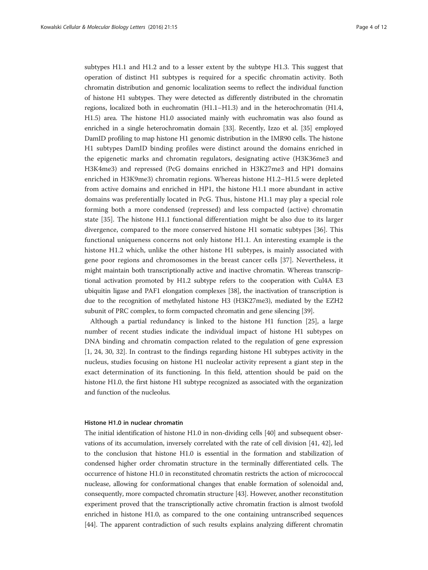subtypes H1.1 and H1.2 and to a lesser extent by the subtype H1.3. This suggest that operation of distinct H1 subtypes is required for a specific chromatin activity. Both chromatin distribution and genomic localization seems to reflect the individual function of histone H1 subtypes. They were detected as differently distributed in the chromatin regions, localized both in euchromatin (H1.1–H1.3) and in the heterochromatin (H1.4, H1.5) area. The histone H1.0 associated mainly with euchromatin was also found as enriched in a single heterochromatin domain [\[33](#page-10-0)]. Recently, Izzo et al. [[35](#page-10-0)] employed DamID profiling to map histone H1 genomic distribution in the IMR90 cells. The histone H1 subtypes DamID binding profiles were distinct around the domains enriched in the epigenetic marks and chromatin regulators, designating active (H3K36me3 and H3K4me3) and repressed (PcG domains enriched in H3K27me3 and HP1 domains enriched in H3K9me3) chromatin regions. Whereas histone H1.2–H1.5 were depleted from active domains and enriched in HP1, the histone H1.1 more abundant in active domains was preferentially located in PcG. Thus, histone H1.1 may play a special role forming both a more condensed (repressed) and less compacted (active) chromatin state [[35\]](#page-10-0). The histone H1.1 functional differentiation might be also due to its larger divergence, compared to the more conserved histone H1 somatic subtypes [\[36](#page-11-0)]. This functional uniqueness concerns not only histone H1.1. An interesting example is the histone H1.2 which, unlike the other histone H1 subtypes, is mainly associated with gene poor regions and chromosomes in the breast cancer cells [\[37](#page-11-0)]. Nevertheless, it might maintain both transcriptionally active and inactive chromatin. Whereas transcriptional activation promoted by H1.2 subtype refers to the cooperation with Cul4A E3 ubiquitin ligase and PAF1 elongation complexes [[38](#page-11-0)], the inactivation of transcription is due to the recognition of methylated histone H3 (H3K27me3), mediated by the EZH2 subunit of PRC complex, to form compacted chromatin and gene silencing [[39](#page-11-0)].

Although a partial redundancy is linked to the histone H1 function [[25](#page-10-0)], a large number of recent studies indicate the individual impact of histone H1 subtypes on DNA binding and chromatin compaction related to the regulation of gene expression [[1, 24, 30](#page-10-0), [32](#page-10-0)]. In contrast to the findings regarding histone H1 subtypes activity in the nucleus, studies focusing on histone H1 nucleolar activity represent a giant step in the exact determination of its functioning. In this field, attention should be paid on the histone H1.0, the first histone H1 subtype recognized as associated with the organization and function of the nucleolus.

#### Histone H1.0 in nuclear chromatin

The initial identification of histone H1.0 in non-dividing cells [\[40\]](#page-11-0) and subsequent observations of its accumulation, inversely correlated with the rate of cell division [[41, 42](#page-11-0)], led to the conclusion that histone H1.0 is essential in the formation and stabilization of condensed higher order chromatin structure in the terminally differentiated cells. The occurrence of histone H1.0 in reconstituted chromatin restricts the action of micrococcal nuclease, allowing for conformational changes that enable formation of solenoidal and, consequently, more compacted chromatin structure [[43](#page-11-0)]. However, another reconstitution experiment proved that the transcriptionally active chromatin fraction is almost twofold enriched in histone H1.0, as compared to the one containing untranscribed sequences [[44](#page-11-0)]. The apparent contradiction of such results explains analyzing different chromatin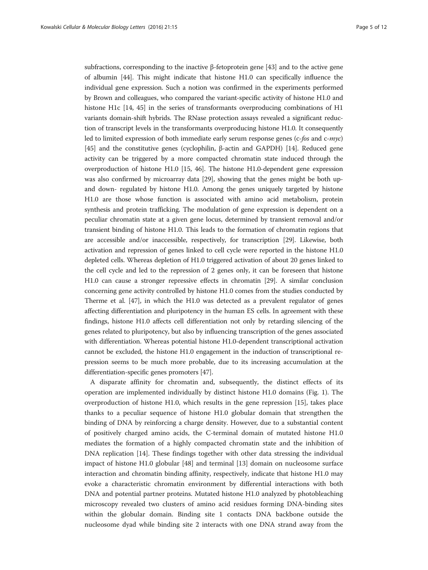subfractions, corresponding to the inactive β-fetoprotein gene [[43](#page-11-0)] and to the active gene of albumin [\[44\]](#page-11-0). This might indicate that histone H1.0 can specifically influence the individual gene expression. Such a notion was confirmed in the experiments performed by Brown and colleagues, who compared the variant-specific activity of histone H1.0 and histone H1c [\[14](#page-10-0), [45\]](#page-11-0) in the series of transformants overproducing combinations of H1 variants domain-shift hybrids. The RNase protection assays revealed a significant reduction of transcript levels in the transformants overproducing histone H1.0. It consequently led to limited expression of both immediate early serum response genes (*c-fos* and *c-myc*) [[45](#page-11-0)] and the constitutive genes (cyclophilin, β-actin and GAPDH) [\[14\]](#page-10-0). Reduced gene activity can be triggered by a more compacted chromatin state induced through the overproduction of histone H1.0 [\[15](#page-10-0), [46\]](#page-11-0). The histone H1.0-dependent gene expression was also confirmed by microarray data [\[29\]](#page-10-0), showing that the genes might be both upand down- regulated by histone H1.0. Among the genes uniquely targeted by histone H1.0 are those whose function is associated with amino acid metabolism, protein synthesis and protein trafficking. The modulation of gene expression is dependent on a peculiar chromatin state at a given gene locus, determined by transient removal and/or transient binding of histone H1.0. This leads to the formation of chromatin regions that are accessible and/or inaccessible, respectively, for transcription [\[29\]](#page-10-0). Likewise, both activation and repression of genes linked to cell cycle were reported in the histone H1.0 depleted cells. Whereas depletion of H1.0 triggered activation of about 20 genes linked to the cell cycle and led to the repression of 2 genes only, it can be foreseen that histone H1.0 can cause a stronger repressive effects in chromatin [\[29\]](#page-10-0). A similar conclusion concerning gene activity controlled by histone H1.0 comes from the studies conducted by Therme et al. [\[47\]](#page-11-0), in which the H1.0 was detected as a prevalent regulator of genes affecting differentiation and pluripotency in the human ES cells. In agreement with these findings, histone H1.0 affects cell differentiation not only by retarding silencing of the genes related to pluripotency, but also by influencing transcription of the genes associated with differentiation. Whereas potential histone H1.0-dependent transcriptional activation cannot be excluded, the histone H1.0 engagement in the induction of transcriptional repression seems to be much more probable, due to its increasing accumulation at the differentiation-specific genes promoters [[47\]](#page-11-0).

A disparate affinity for chromatin and, subsequently, the distinct effects of its operation are implemented individually by distinct histone H1.0 domains (Fig. [1\)](#page-5-0). The overproduction of histone H1.0, which results in the gene repression [\[15](#page-10-0)], takes place thanks to a peculiar sequence of histone H1.0 globular domain that strengthen the binding of DNA by reinforcing a charge density. However, due to a substantial content of positively charged amino acids, the C-terminal domain of mutated histone H1.0 mediates the formation of a highly compacted chromatin state and the inhibition of DNA replication [\[14](#page-10-0)]. These findings together with other data stressing the individual impact of histone H1.0 globular [[48](#page-11-0)] and terminal [\[13](#page-10-0)] domain on nucleosome surface interaction and chromatin binding affinity, respectively, indicate that histone H1.0 may evoke a characteristic chromatin environment by differential interactions with both DNA and potential partner proteins. Mutated histone H1.0 analyzed by photobleaching microscopy revealed two clusters of amino acid residues forming DNA-binding sites within the globular domain. Binding site 1 contacts DNA backbone outside the nucleosome dyad while binding site 2 interacts with one DNA strand away from the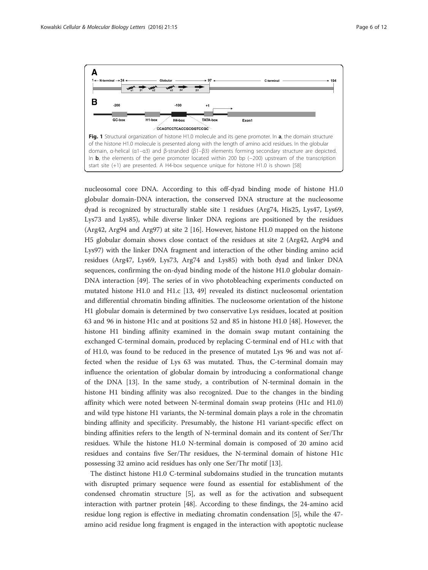<span id="page-5-0"></span>

nucleosomal core DNA. According to this off-dyad binding mode of histone H1.0 globular domain-DNA interaction, the conserved DNA structure at the nucleosome dyad is recognized by structurally stable site 1 residues (Arg74, His25, Lys47, Lys69, Lys73 and Lys85), while diverse linker DNA regions are positioned by the residues (Arg42, Arg94 and Arg97) at site 2 [[16\]](#page-10-0). However, histone H1.0 mapped on the histone H5 globular domain shows close contact of the residues at site 2 (Arg42, Arg94 and Lys97) with the linker DNA fragment and interaction of the other binding amino acid residues (Arg47, Lys69, Lys73, Arg74 and Lys85) with both dyad and linker DNA sequences, confirming the on-dyad binding mode of the histone H1.0 globular domain-DNA interaction [[49](#page-11-0)]. The series of in vivo photobleaching experiments conducted on mutated histone H1.0 and H1.c [\[13](#page-10-0), [49](#page-11-0)] revealed its distinct nucleosomal orientation and differential chromatin binding affinities. The nucleosome orientation of the histone H1 globular domain is determined by two conservative Lys residues, located at position 63 and 96 in histone H1c and at positions 52 and 85 in histone H1.0 [[48](#page-11-0)]. However, the histone H1 binding affinity examined in the domain swap mutant containing the exchanged C-terminal domain, produced by replacing C-terminal end of H1.c with that of H1.0, was found to be reduced in the presence of mutated Lys 96 and was not affected when the residue of Lys 63 was mutated. Thus, the C-terminal domain may influence the orientation of globular domain by introducing a conformational change of the DNA [[13\]](#page-10-0). In the same study, a contribution of N-terminal domain in the histone H1 binding affinity was also recognized. Due to the changes in the binding affinity which were noted between N-terminal domain swap proteins (H1c and H1.0) and wild type histone H1 variants, the N-terminal domain plays a role in the chromatin binding affinity and specificity. Presumably, the histone H1 variant-specific effect on binding affinities refers to the length of N-terminal domain and its content of Ser/Thr residues. While the histone H1.0 N-terminal domain is composed of 20 amino acid residues and contains five Ser/Thr residues, the N-terminal domain of histone H1c possessing 32 amino acid residues has only one Ser/Thr motif [[13\]](#page-10-0).

The distinct histone H1.0 C-terminal subdomains studied in the truncation mutants with disrupted primary sequence were found as essential for establishment of the condensed chromatin structure [\[5](#page-10-0)], as well as for the activation and subsequent interaction with partner protein [[48\]](#page-11-0). According to these findings, the 24-amino acid residue long region is effective in mediating chromatin condensation [\[5](#page-10-0)], while the 47 amino acid residue long fragment is engaged in the interaction with apoptotic nuclease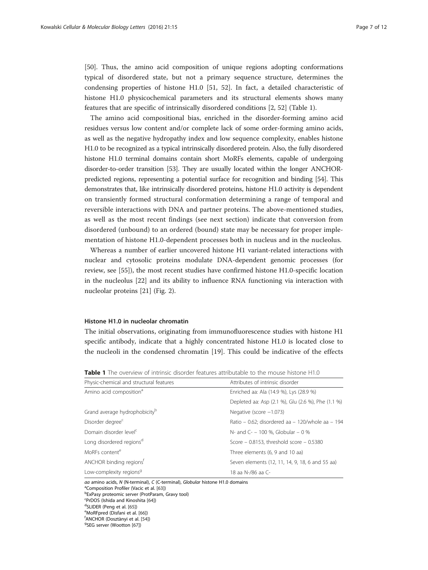<span id="page-6-0"></span>[[50\]](#page-11-0). Thus, the amino acid composition of unique regions adopting conformations typical of disordered state, but not a primary sequence structure, determines the condensing properties of histone H1.0 [[51, 52\]](#page-11-0). In fact, a detailed characteristic of histone H1.0 physicochemical parameters and its structural elements shows many features that are specific of intrinsically disordered conditions [[2](#page-10-0), [52](#page-11-0)] (Table 1).

The amino acid compositional bias, enriched in the disorder-forming amino acid residues versus low content and/or complete lack of some order-forming amino acids, as well as the negative hydropathy index and low sequence complexity, enables histone H1.0 to be recognized as a typical intrinsically disordered protein. Also, the fully disordered histone H1.0 terminal domains contain short MoRFs elements, capable of undergoing disorder-to-order transition [\[53\]](#page-11-0). They are usually located within the longer ANCHORpredicted regions, representing a potential surface for recognition and binding [[54](#page-11-0)]. This demonstrates that, like intrinsically disordered proteins, histone H1.0 activity is dependent on transiently formed structural conformation determining a range of temporal and reversible interactions with DNA and partner proteins. The above-mentioned studies, as well as the most recent findings (see next section) indicate that conversion from disordered (unbound) to an ordered (bound) state may be necessary for proper implementation of histone H1.0-dependent processes both in nucleus and in the nucleolus.

Whereas a number of earlier uncovered histone H1 variant-related interactions with nuclear and cytosolic proteins modulate DNA-dependent genomic processes (for review, see [\[55\]](#page-11-0)), the most recent studies have confirmed histone H1.0-specific location in the nucleolus [[22](#page-10-0)] and its ability to influence RNA functioning via interaction with nucleolar proteins [[21\]](#page-10-0) (Fig. [2](#page-7-0)).

## Histone H1.0 in nucleolar chromatin

The initial observations, originating from immunofluorescence studies with histone H1 specific antibody, indicate that a highly concentrated histone H1.0 is located close to the nucleoli in the condensed chromatin [[19\]](#page-10-0). This could be indicative of the effects

Table 1 The overview of intrinsic disorder features attributable to the mouse histone H1.0

| Physic-chemical and structural features   | Attributes of intrinsic disorder                   |
|-------------------------------------------|----------------------------------------------------|
| Amino acid composition <sup>a</sup>       | Enriched aa: Ala (14.9 %), Lys (28.9 %)            |
|                                           | Depleted aa: Asp (2.1 %), Glu (2.6 %), Phe (1.1 %) |
| Grand average hydrophobicity <sup>b</sup> | Negative (score $-1.073$ )                         |
| Disorder degree <sup>c</sup>              | Ratio – 0.62; disordered aa – 120/whole aa – 194   |
| Domain disorder level <sup>c</sup>        | N- and C- - 100 %. Globular - 0 %                  |
| Long disordered regions <sup>d</sup>      | Score - 0.8153, threshold score - 0.5380           |
| MoREs content <sup>e</sup>                | Three elements (6, 9 and 10 aa)                    |
| ANCHOR binding regions <sup>t</sup>       | Seven elements (12, 11, 14, 9, 18, 6 and 55 aa)    |
| Low-complexity regions <sup>9</sup>       | 18 aa N-/86 aa C-                                  |

aa amino acids, N (N-terminal), C (C-terminal), Globular histone H1.0 domains

<sup>a</sup>Composition Profiler (Vacic et al. [[63](#page-11-0)]) bExPasy proteomic server (ProtParam, Gravy tool)  $\frac{1}{2}$ PrDOS (Ishida and Kinoshita [\[64\]](#page-11-0)) <sup>d</sup>SLIDER (Peng et al. [\[65](#page-11-0)]) <sup>e</sup>MoRFpred (Disfani et al. [[66\]](#page-11-0)) ANCHOR (Dosztànyi et al. [\[54](#page-11-0)]) <sup>g</sup> <sup>9</sup>SEG server (Wootton [[67\]](#page-11-0))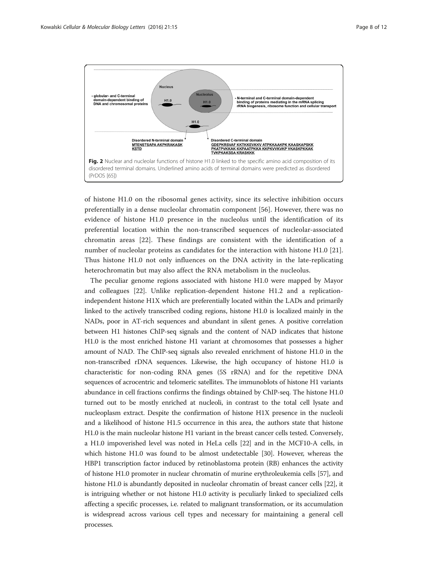<span id="page-7-0"></span>

of histone H1.0 on the ribosomal genes activity, since its selective inhibition occurs preferentially in a dense nucleolar chromatin component [\[56](#page-11-0)]. However, there was no evidence of histone H1.0 presence in the nucleolus until the identification of its preferential location within the non-transcribed sequences of nucleolar-associated chromatin areas [[22\]](#page-10-0). These findings are consistent with the identification of a number of nucleolar proteins as candidates for the interaction with histone H1.0 [\[21](#page-10-0)]. Thus histone H1.0 not only influences on the DNA activity in the late-replicating heterochromatin but may also affect the RNA metabolism in the nucleolus.

The peculiar genome regions associated with histone H1.0 were mapped by Mayor and colleagues [\[22\]](#page-10-0). Unlike replication-dependent histone H1.2 and a replicationindependent histone H1X which are preferentially located within the LADs and primarily linked to the actively transcribed coding regions, histone H1.0 is localized mainly in the NADs, poor in AT-rich sequences and abundant in silent genes. A positive correlation between H1 histones ChIP-seq signals and the content of NAD indicates that histone H1.0 is the most enriched histone H1 variant at chromosomes that possesses a higher amount of NAD. The ChIP-seq signals also revealed enrichment of histone H1.0 in the non-transcribed rDNA sequences. Likewise, the high occupancy of histone H1.0 is characteristic for non-coding RNA genes (5S rRNA) and for the repetitive DNA sequences of acrocentric and telomeric satellites. The immunoblots of histone H1 variants abundance in cell fractions confirms the findings obtained by ChIP-seq. The histone H1.0 turned out to be mostly enriched at nucleoli, in contrast to the total cell lysate and nucleoplasm extract. Despite the confirmation of histone H1X presence in the nucleoli and a likelihood of histone H1.5 occurrence in this area, the authors state that histone H1.0 is the main nucleolar histone H1 variant in the breast cancer cells tested. Conversely, a H1.0 impoverished level was noted in HeLa cells [\[22\]](#page-10-0) and in the MCF10-A cells, in which histone H1.0 was found to be almost undetectable [\[30\]](#page-10-0). However, whereas the HBP1 transcription factor induced by retinoblastoma protein (RB) enhances the activity of histone H1.0 promoter in nuclear chromatin of murine erythroleukemia cells [\[57\]](#page-11-0), and histone H1.0 is abundantly deposited in nucleolar chromatin of breast cancer cells [\[22\]](#page-10-0), it is intriguing whether or not histone H1.0 activity is peculiarly linked to specialized cells affecting a specific processes, i.e. related to malignant transformation, or its accumulation is widespread across various cell types and necessary for maintaining a general cell processes.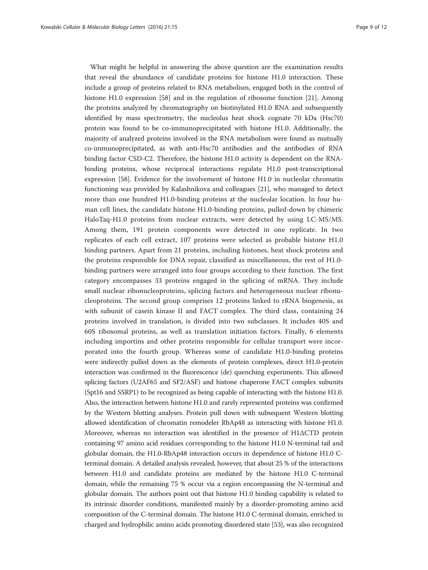What might be helpful in answering the above question are the examination results that reveal the abundance of candidate proteins for histone H1.0 interaction. These include a group of proteins related to RNA metabolism, engaged both in the control of histone H1.0 expression [[58](#page-11-0)] and in the regulation of ribosome function [\[21](#page-10-0)]. Among the proteins analyzed by chromatography on biotinylated H1.0 RNA and subsequently identified by mass spectrometry, the nucleolus heat shock cognate 70 kDa (Hsc70) protein was found to be co-immunoprecipitated with histone H1.0. Additionally, the majority of analyzed proteins involved in the RNA metabolism were found as mutually co-immunoprecipitated, as with anti-Hsc70 antibodies and the antibodies of RNA binding factor CSD-C2. Therefore, the histone H1.0 activity is dependent on the RNAbinding proteins, whose reciprocal interactions regulate H1.0 post-transcriptional expression [[58\]](#page-11-0). Evidence for the involvement of histone H1.0 in nucleolar chromatin functioning was provided by Kalashnikova and colleagues [\[21\]](#page-10-0), who managed to detect more than one hundred H1.0-binding proteins at the nucleolar location. In four human cell lines, the candidate histone H1.0-binding proteins, pulled-down by chimeric HaloTaq-H1.0 proteins from nuclear extracts, were detected by using LC-MS/MS. Among them, 191 protein components were detected in one replicate. In two replicates of each cell extract, 107 proteins were selected as probable histone H1.0 binding partners. Apart from 21 proteins, including histones, heat shock proteins and the proteins responsible for DNA repair, classified as miscellaneous, the rest of H1.0 binding partners were arranged into four groups according to their function. The first category encompasses 33 proteins engaged in the splicing of mRNA. They include small nuclear ribonucleoproteins, splicing factors and heterogeneous nuclear ribonucleoproteins. The second group comprises 12 proteins linked to rRNA biogenesis, as with subunit of casein kinase II and FACT complex. The third class, containing 24 proteins involved in translation, is divided into two subclasses. It includes 40S and 60S ribosomal proteins, as well as translation initiation factors. Finally, 6 elements including importins and other proteins responsible for cellular transport were incorporated into the fourth group. Whereas some of candidate H1.0-binding proteins were indirectly pulled down as the elements of protein complexes, direct H1.0-protein interaction was confirmed in the fluorescence (de) quenching experiments. This allowed splicing factors (U2AF65 and SF2/ASF) and histone chaperone FACT complex subunits (Spt16 and SSRP1) to be recognized as being capable of interacting with the histone H1.0. Also, the interaction between histone H1.0 and rarely represented proteins was confirmed by the Western blotting analyses. Protein pull down with subsequent Western blotting allowed identification of chromatin remodeler RbAp48 as interacting with histone H1.0. Moreover, whereas no interaction was identified in the presence of H1ΔCTD protein containing 97 amino acid residues corresponding to the histone H1.0 N-terminal tail and globular domain, the H1.0-RbAp48 interaction occurs in dependence of histone H1.0 Cterminal domain. A detailed analysis revealed, however, that about 25 % of the interactions between H1.0 and candidate proteins are mediated by the histone H1.0 C-terminal domain, while the remaining 75 % occur via a region encompassing the N-terminal and globular domain. The authors point out that histone H1.0 binding capability is related to its intrinsic disorder conditions, manifested mainly by a disorder-promoting amino acid composition of the C-terminal domain. The histone H1.0 C-terminal domain, enriched in charged and hydrophilic amino acids promoting disordered state [\[53\]](#page-11-0), was also recognized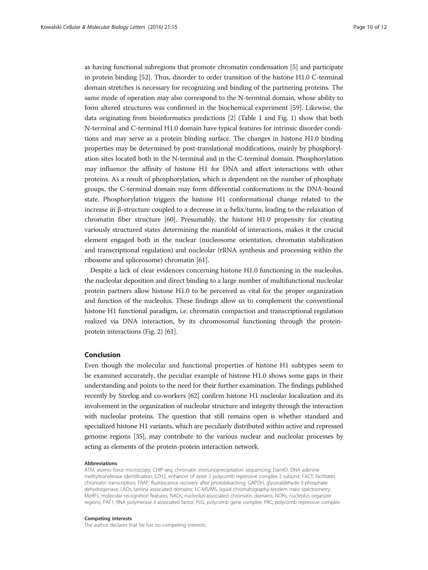as having functional subregions that promote chromatin condensation [[5\]](#page-10-0) and participate in protein binding [[52](#page-11-0)]. Thus, disorder to order transition of the histone H1.0 C-terminal domain stretches is necessary for recognizing and binding of the partnering proteins. The same mode of operation may also correspond to the N-terminal domain, whose ability to form altered structures was confirmed in the biochemical experiment [\[59\]](#page-11-0). Likewise, the data originating from bioinformatics predictions [\[2](#page-10-0)] (Table [1](#page-6-0) and Fig. [1](#page-5-0)) show that both N-terminal and C-terminal H1.0 domain have typical features for intrinsic disorder conditions and may serve as a protein binding surface. The changes in histone H1.0 binding properties may be determined by post-translational modifications, mainly by phosphorylation sites located both in the N-terminal and in the C-terminal domain. Phosphorylation may influence the affinity of histone H1 for DNA and affect interactions with other proteins. As a result of phosphorylation, which is dependent on the number of phosphate groups, the C-terminal domain may form differential conformations in the DNA-bound state. Phosphorylation triggers the histone H1 conformational change related to the increase in β-structure coupled to a decrease in α-helix/turns, leading to the relaxation of chromatin fiber structure [[60\]](#page-11-0). Presumably, the histone H1.0 propensity for creating variously structured states determining the manifold of interactions, makes it the crucial element engaged both in the nuclear (nucleosome orientation, chromatin stabilization and transcriptional regulation) and nucleolar (rRNA synthesis and processing within the ribosome and spliceosome) chromatin [\[61\]](#page-11-0).

Despite a lack of clear evidences concerning histone H1.0 functioning in the nucleolus, the nucleolar deposition and direct binding to a large number of multifunctional nucleolar protein partners allow histone H1.0 to be perceived as vital for the proper organization and function of the nucleolus. These findings allow us to complement the conventional histone H1 functional paradigm, i.e. chromatin compaction and transcriptional regulation realized via DNA interaction, by its chromosomal functioning through the proteinprotein interactions (Fig. [2\)](#page-7-0) [\[61\]](#page-11-0).

## Conclusion

Even though the molecular and functional properties of histone H1 subtypes seem to be examined accurately, the peculiar example of histone H1.0 shows some gaps in their understanding and points to the need for their further examination. The findings published recently by Szerlog and co-workers [\[62](#page-11-0)] confirm histone H1 nucleolar localization and its involvement in the organization of nucleolar structure and integrity through the interaction with nucleolar proteins. The question that still remains open is whether standard and specialized histone H1 variants, which are peculiarly distributed within active and repressed genome regions [\[35](#page-10-0)], may contribute to the various nuclear and nucleolar processes by acting as elements of the protein-protein interaction network.

#### Abbreviations

ATM, atomic-force microscopy; CHIP-seq, chromatin immunoprecipitation sequencing; DamID, DNA adenine methyltransferase identification; EZH2, enhancer of zeste 2 polycomb repressive complex 2 subunit; FACT, facilitates chromatin transcription; FRAP, fluorescence recovery after photobleaching; GAPDH, glyceraldehyde-3-phosphate dehydrogenase; LADs, lamina associated domains; LC-MS/MS, liquid chromatography-tendem mass spectrometry; MoRFs, molecular recognition features; NADs, nucleolus-associated chromatin domains; NORs, nucleolus organizer regions; PAF1, RNA polymerase II associated factor; PcG, polycomb gene complex; PRC, polycomb repressive complex

#### Competing interests

The author declares that he has no competing interests.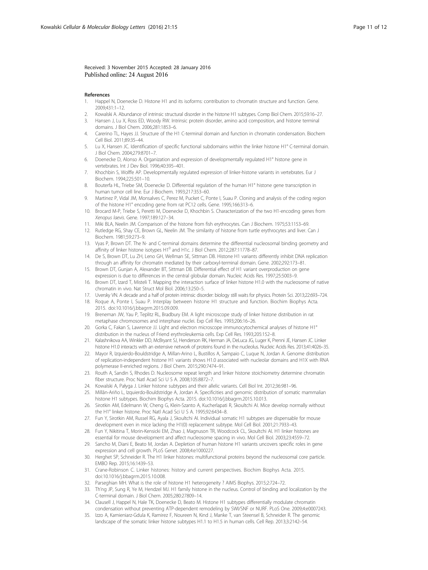#### <span id="page-10-0"></span>Received: 3 November 2015 Accepted: 28 January 2016 Published online: 24 August 2016

#### References

- 1. Happel N, Doenecke D. Histone H1 and its isoforms: contribution to chromatin structure and function. Gene. 2009;431:1–12.
- 2. Kowalski A. Abundance of intrinsic structural disorder in the histone H1 subtypes. Comp Biol Chem. 2015;59:16–27.
- 3. Hansen J, Lu X, Ross ED, Woody RW. Intrinsic protein disorder, amino acid composition, and histone terminal domains. J Biol Chem. 2006;281:1853–6.
- 4. Carerino TL, Hayes JJ. Structure of the H1 C-terminal domain and function in chromatin condensation. Biochem Cell Biol. 2011;89:35–44.
- 5. Lu X, Hansen JC. Identification of specific functional subdomains within the linker histone H1° C-terminal domain. J Biol Chem. 2004;279:8701–7.
- 6. Doenecke D, Alonso A. Organization and expression of developmentally regulated H1° histone gene in vertebrates. Int J Dev Biol. 1996;40:395–401.
- 7. Khochbin S, Wolffe AP. Developmentally regulated expression of linker-histone variants in vertebrates. Eur J Biochem. 1994;225:501–10.
- 8. Bouterfa HL, Triebe SM, Doenecke D. Differential regulation of the human H1° histone gene transcription in human tumor cell line. Eur J Biochem. 1993;217:353–60.
- 9. Martinez P, Vidal JM, Monsalves C, Perez M, Pucket C, Ponte I, Suau P. Cloning and analysis of the coding region of the histone H1° encoding gene from rat PC12 cells. Gene. 1995;166:313–6.
- 10. Brocard M-P, Triebe S, Peretti M, Doenecke D, Khochbin S. Characterization of the two H1-encoding genes from Xenopus laevis. Gene. 1997;189:127–34.
- 11. Miki BLA, Neelin JM. Comparison of the histone from fish erythrocytes. Can J Biochem. 1975;53:1153–69.
- 12. Rutledge RG, Shay CE, Brown GL, Neelin JM. The similarity of histone from turtle erythrocytes and liver. Can J Biochem. 1981;59:273–9.
- 13. Vyas P, Brown DT. The N- and C-terminal domains determine the differential nucleosomal binding geometry and affinity of linker histone isotypes H1<sup>0</sup> and H1c. J Biol Chem. 2012;287:11778–87.
- 14. De S, Brown DT, Lu ZH, Leno GH, Wellman SE, Sittman DB. Histone H1 variants differently inhibit DNA replication through an affinity for chromatin mediated by their carboxyl-terminal domain. Gene. 2002;292:173–81.
- 15. Brown DT, Gunjan A, Alexander BT, Sittman DB. Differential effect of H1 variant overproduction on gene expression is due to differences in the central globular domain. Nucleic Acids Res. 1997;25:5003–9.
- 16. Brown DT, Izard T, Misteli T. Mapping the interaction surface of linker histone H1.0 with the nucleosome of native chromatin in vivo. Nat Struct Mol Biol. 2006;13:250–5.
- 17. Uversky VN. A decade and a half of protein intrinsic disorder: biology still waits for physics. Protein Sci. 2013;22:693–724.
- 18. Roque A, Ponte I, Suau P. Interplay between histone H1 structure and function. Biochim Biophys Acta. 2015. doi[:10.1016/j.bbagrm.2015.09.009.](http://dx.doi.org/10.1016/j.bbagrm.2015.09.009)
- 19. Breneman JW, Yau P, Teplitz RL, Bradbury EM. A light microscope study of linker histone distribution in rat metaphase chromosomes and interphase nuclei. Exp Cell Res. 1993;206:16–26.
- 20. Gorka C, Fakan S, Lawrence JJ. Light and electron microscope immunocytochemical analyses of histone H1° distribution in the nucleus of Friend erythroleukemia cells. Exp Cell Res. 1993;205:152–8.
- 21. Kalashnikova AA, Winkler DD, McBryant SJ, Henderson RK, Herman JA, DeLuca JG, Luger K, Prenni JE, Hansen JC. Linker histone H1.0 interacts with an extensive network of proteins found in the nucleolus. Nucleic Acids Res. 2013;41:4026–35.
- 22. Mayor R, Izquierdo-Bouldstridge A, Millan-Arino L, Bustillos A, Sampaio C, Luque N, Jordan A. Genome distribution of replication-independent histone H1 variants shows H1.0 associated with nucleolar domains and H1X with RNA polymerase II-enriched regions. J Biol Chem. 2015;290:7474–91.
- 23. Routh A, Sandin S, Rhodes D. Nucleosome repeat length and linker histone stoichiometry determine chromatin fiber structure. Proc Natl Acad Sci U S A. 2008;105:8872–7.
- 24. Kowalski A, Pałyga J. Linker histone subtypes and their allelic variants. Cell Biol Int. 2012;36:981–96.
- 25. Millãn-Ariño L, Izquierdo-Bouldstridge A, Jordan A. Specificities and genomic distribution of somatic mammalian histone H1 subtypes. Biochim Biophys Acta. 2015. doi[:10.1016/j.bbagrm.2015.10.013.](http://dx.doi.org/10.1016/j.bbagrm.2015.10.013)
- 26. Sirotkin AM, Edelmann W, Cheng G, Klein-Szanto A, Kucherlapati R, Skoultchi AI. Mice develop normally without the H1° linker histone. Proc Natl Acad Sci U S A. 1995;92:6434–8.
- 27. Fun Y, Sirotkin AM, Russel RG, Ayala J, Skoultchi AI. Individual somatic H1 subtypes are dispensable for mouse development even in mice lacking the H1(0) replacement subtype. Mol Cell Biol. 2001;21:7933–43.
- 28. Fun Y, Nikitina T, Morin-Kensicki EM, Zhao J, Magnuson TR, Woodcock CL, Skoultchi AI. H1 linker histones are essential for mouse development and affect nucleosome spacing in vivo. Mol Cell Biol. 2003;23:4559–72.
- 29. Sancho M, Diani E, Beato M, Jordan A. Depletion of human histone H1 variants uncovers specific roles in gene expression and cell growth. PLoS Genet. 2008;4:e1000227.
- 30. Herghet SP, Schneider R. The H1 linker histones: multifunctional proteins beyond the nucleosomal core particle. EMBO Rep. 2015;16:1439–53.
- 31. Crane-Robinson C. Linker histones: history and current perspectives. Biochim Biophys Acta. 2015. doi[:10.1016/j.bbagrm.2015.10.008](http://dx.doi.org/10.1016/j.bbagrm.2015.10.008).
- 32. Parseghian MH. What is the role of histone H1 heterogeneity ? AIMS Biophys. 2015;2:724–72.
- 33. Th'ng JP, Sung R, Ye M, Hendzel MJ. H1 family histone in the nucleus. Control of binding and localization by the C-terminal domain. J Biol Chem. 2005;280:27809–14.
- 34. Clausell J, Happel N, Hale TK, Doenecke D, Beato M. Histone H1 subtypes differentially modulate chromatin condensation without preventing ATP-dependent remodeling by SWI/SNF or NURF. PLoS One. 2009;4:e0007243.
- 35. Izzo A, Kamieniarz-Gdula K, Ramirez F, Noureen N, Kind J, Manke T, van Steensel B, Schneider R. The genomic landscape of the somatic linker histone subtypes H1.1 to H1.5 in human cells. Cell Rep. 2013;3:2142–54.